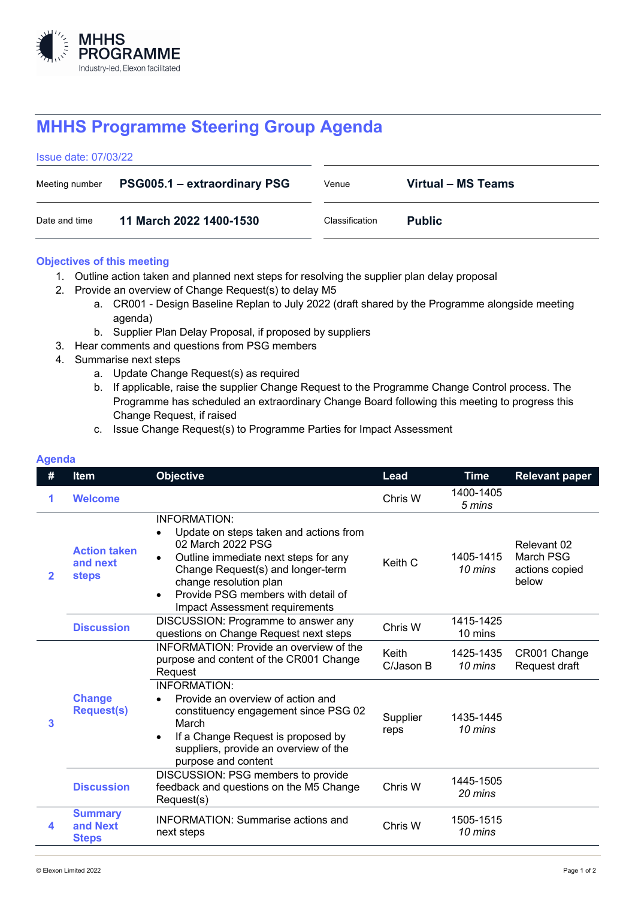

## **MHHS Programme Steering Group Agenda**

| <b>Issue date: 07/03/22</b> |                                     |                |                    |
|-----------------------------|-------------------------------------|----------------|--------------------|
| Meeting number              | <b>PSG005.1 – extraordinary PSG</b> | Venue          | Virtual – MS Teams |
| Date and time               | 11 March 2022 1400-1530             | Classification | <b>Public</b>      |

## **Objectives of this meeting**

- 1. Outline action taken and planned next steps for resolving the supplier plan delay proposal
- 2. Provide an overview of Change Request(s) to delay M5
	- a. CR001 Design Baseline Replan to July 2022 (draft shared by the Programme alongside meeting agenda)
	- b. Supplier Plan Delay Proposal, if proposed by suppliers
- 3. Hear comments and questions from PSG members
- 4. Summarise next steps
	- a. Update Change Request(s) as required
	- b. If applicable, raise the supplier Change Request to the Programme Change Control process. The Programme has scheduled an extraordinary Change Board following this meeting to progress this Change Request, if raised
	- c. Issue Change Request(s) to Programme Parties for Impact Assessment

| #            | <b>Item</b>                                     | <b>Objective</b>                                                                                                                                                                                                                                                               | Lead                      | <b>Time</b>          | <b>Relevant paper</b>                                      |
|--------------|-------------------------------------------------|--------------------------------------------------------------------------------------------------------------------------------------------------------------------------------------------------------------------------------------------------------------------------------|---------------------------|----------------------|------------------------------------------------------------|
|              | <b>Welcome</b>                                  |                                                                                                                                                                                                                                                                                | Chris W                   | 1400-1405<br>5 mins  |                                                            |
| $\mathbf{2}$ | <b>Action taken</b><br>and next<br><b>steps</b> | <b>INFORMATION:</b><br>Update on steps taken and actions from<br>02 March 2022 PSG<br>Outline immediate next steps for any<br>Change Request(s) and longer-term<br>change resolution plan<br>Provide PSG members with detail of<br>$\bullet$<br>Impact Assessment requirements | Keith C                   | 1405-1415<br>10 mins | Relevant 02<br><b>March PSG</b><br>actions copied<br>below |
|              | <b>Discussion</b>                               | DISCUSSION: Programme to answer any<br>questions on Change Request next steps                                                                                                                                                                                                  | Chris W                   | 1415-1425<br>10 mins |                                                            |
| 3            | <b>Change</b><br><b>Request(s)</b>              | <b>INFORMATION: Provide an overview of the</b><br>purpose and content of the CR001 Change<br>Request                                                                                                                                                                           | <b>Keith</b><br>C/Jason B | 1425-1435<br>10 mins | CR001 Change<br>Request draft                              |
|              |                                                 | <b>INFORMATION:</b><br>Provide an overview of action and<br>constituency engagement since PSG 02<br>March<br>If a Change Request is proposed by<br>$\bullet$<br>suppliers, provide an overview of the<br>purpose and content                                                   | Supplier<br>reps          | 1435-1445<br>10 mins |                                                            |
|              | <b>Discussion</b>                               | DISCUSSION: PSG members to provide<br>feedback and questions on the M5 Change<br>Request(s)                                                                                                                                                                                    | Chris W                   | 1445-1505<br>20 mins |                                                            |
| 4            | <b>Summary</b><br>and Next<br><b>Steps</b>      | <b>INFORMATION: Summarise actions and</b><br>next steps                                                                                                                                                                                                                        | Chris W                   | 1505-1515<br>10 mins |                                                            |

## **Agenda**